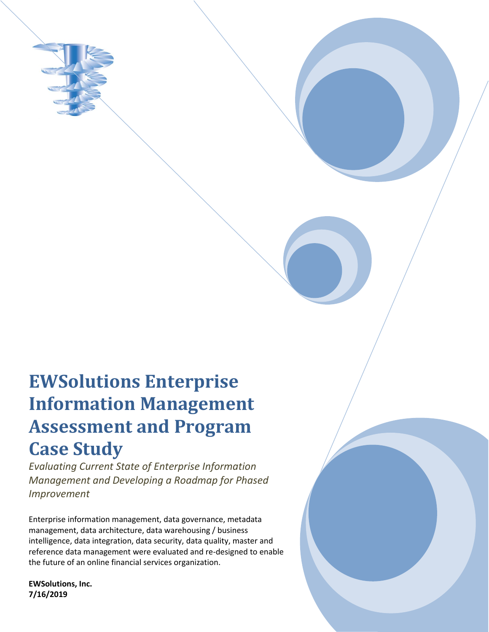

# **EWSolutions Enterprise Information Management Assessment and Program Case Study**

*Evaluating Current State of Enterprise Information Management and Developing a Roadmap for Phased Improvement*

Enterprise information management, data governance, metadata management, data architecture, data warehousing / business intelligence, data integration, data security, data quality, master and reference data management were evaluated and re-designed to enable the future of an online financial services organization.

**EWSolutions, Inc. 7/16/2019**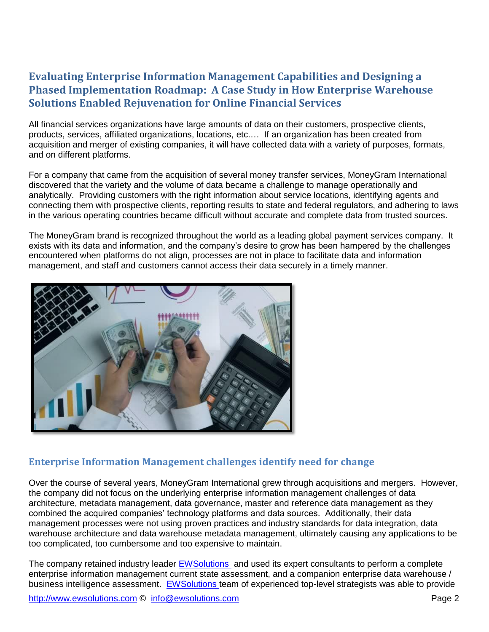## **Evaluating Enterprise Information Management Capabilities and Designing a Phased Implementation Roadmap: A Case Study in How Enterprise Warehouse Solutions Enabled Rejuvenation for Online Financial Services**

All financial services organizations have large amounts of data on their customers, prospective clients, products, services, affiliated organizations, locations, etc.… If an organization has been created from acquisition and merger of existing companies, it will have collected data with a variety of purposes, formats, and on different platforms.

For a company that came from the acquisition of several money transfer services, MoneyGram International discovered that the variety and the volume of data became a challenge to manage operationally and analytically. Providing customers with the right information about service locations, identifying agents and connecting them with prospective clients, reporting results to state and federal regulators, and adhering to laws in the various operating countries became difficult without accurate and complete data from trusted sources.

The MoneyGram brand is recognized throughout the world as a leading global payment services company. It exists with its data and information, and the company's desire to grow has been hampered by the challenges encountered when platforms do not align, processes are not in place to facilitate data and information management, and staff and customers cannot access their data securely in a timely manner.



## **Enterprise Information Management challenges identify need for change**

Over the course of several years, MoneyGram International grew through acquisitions and mergers. However, the company did not focus on the underlying enterprise information management challenges of data architecture, metadata management, data governance, master and reference data management as they combined the acquired companies' technology platforms and data sources. Additionally, their data management processes were not using proven practices and industry standards for data integration, data warehouse architecture and data warehouse metadata management, ultimately causing any applications to be too complicated, too cumbersome and too expensive to maintain.

The company retained industry leader [EWSolutions](http://www.ewsolutions.com/) and used its expert consultants to perform a complete enterprise information management current state assessment, and a companion enterprise data warehouse / business intelligence assessment. [EWSolutions t](http://www.ewsolutions.com/)eam of experienced top-level strategists was able to provide

[http://www.ewsolutions.com](http://www.ewsolutions.com/) © [info@ewsolutions.com](mailto:info@ewsolutions.com) entity and the example of the Page 2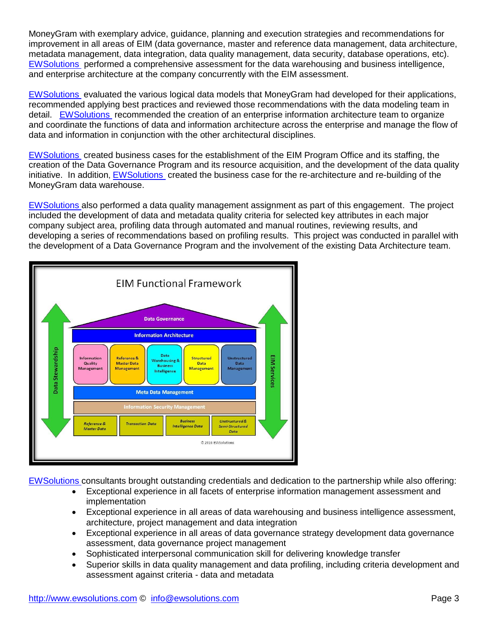MoneyGram with exemplary advice, guidance, planning and execution strategies and recommendations for improvement in all areas of EIM (data governance, master and reference data management, data architecture, metadata management, data integration, data quality management, data security, database operations, etc). [EWSolutions](http://www.ewsolutions.com/) performed a comprehensive assessment for the data warehousing and business intelligence, and enterprise architecture at the company concurrently with the EIM assessment.

[EWSolutions](http://www.ewsolutions.com/) evaluated the various logical data models that MoneyGram had developed for their applications, recommended applying best practices and reviewed those recommendations with the data modeling team in detail. [EWSolutions r](http://www.ewsolutions.com/)ecommended the creation of an enterprise information architecture team to organize and coordinate the functions of data and information architecture across the enterprise and manage the flow of data and information in conjunction with the other architectural disciplines.

[EWSolutions](http://www.ewsolutions.com/) created business cases for the establishment of the EIM Program Office and its staffing, the creation of the Data Governance Program and its resource acquisition, and the development of the data quality initiative. In addition, [EWSolutions](http://www.ewsolutions.com/) created the business case for the re-architecture and re-building of the MoneyGram data warehouse.

[EWSolutions a](http://www.ewsolutions.com/)lso performed a data quality management assignment as part of this engagement. The project included the development of data and metadata quality criteria for selected key attributes in each major company subject area, profiling data through automated and manual routines, reviewing results, and developing a series of recommendations based on profiling results. This project was conducted in parallel with the development of a Data Governance Program and the involvement of the existing Data Architecture team.



[EWSolutions c](http://www.ewsolutions.com/)onsultants brought outstanding credentials and dedication to the partnership while also offering:

- Exceptional experience in all facets of enterprise information management assessment and implementation
- Exceptional experience in all areas of data warehousing and business intelligence assessment, architecture, project management and data integration
- Exceptional experience in all areas of data governance strategy development data governance assessment, data governance project management
- Sophisticated interpersonal communication skill for delivering knowledge transfer
- Superior skills in data quality management and data profiling, including criteria development and assessment against criteria - data and metadata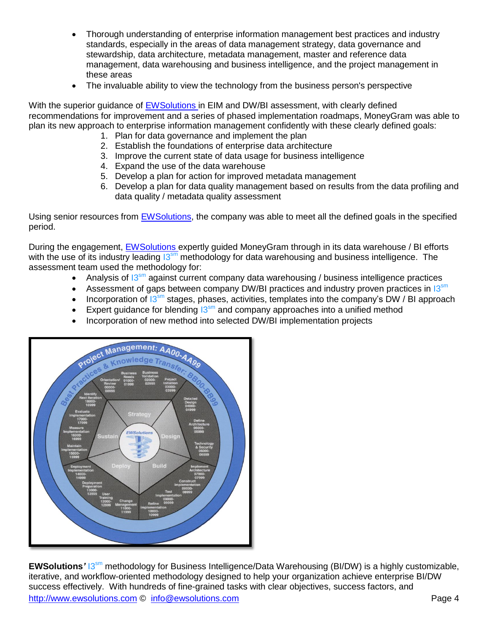- Thorough understanding of enterprise information management best practices and industry standards, especially in the areas of data management strategy, data governance and stewardship, data architecture, metadata management, master and reference data management, data warehousing and business intelligence, and the project management in these areas
- The invaluable ability to view the technology from the business person's perspective

With the superior guidance of [EWSolutions i](http://www.ewsolutions.com/)n EIM and DW/BI assessment, with clearly defined recommendations for improvement and a series of phased implementation roadmaps, MoneyGram was able to plan its new approach to enterprise information management confidently with these clearly defined goals:

- 1. Plan for data governance and implement the plan
- 2. Establish the foundations of enterprise data architecture
- 3. Improve the current state of data usage for business intelligence
- 4. Expand the use of the data warehouse
- 5. Develop a plan for action for improved metadata management
- 6. Develop a plan for data quality management based on results from the data profiling and data quality / metadata quality assessment

Using senior resources from [EWSolutions,](http://www.ewsolutions.com/) the company was able to meet all the defined goals in the specified period.

During the engagement, [EWSolutions e](http://www.ewsolutions.com/)xpertly guided MoneyGram through in its data warehouse / BI efforts with the use of its industry leading  $13^{sm}$  methodology for data warehousing and business intelligence. The assessment team used the methodology for:

- Analysis of  $13<sup>sm</sup>$  against current company data warehousing / business intelligence practices
- Assessment of gaps between company DW/BI practices and industry proven practices in  $13^{sm}$
- Incorporation of  $13<sup>sm</sup>$  stages, phases, activities, templates into the company's DW / BI approach
- Expert guidance for blending  $13^{sm}$  and company approaches into a unified method
- Incorporation of new method into selected DW/BI implementation projects



[http://www.ewsolutions.com](http://www.ewsolutions.com/) © [info@ewsolutions.com](mailto:info@ewsolutions.com) entries and the example of the Page 4 **EWSolutions<sup>'</sup> 13<sup>sm</sup> methodology for Business Intelligence/Data Warehousing (BI/DW) is a highly customizable,** iterative, and workflow-oriented methodology designed to help your organization achieve enterprise BI/DW success effectively. With hundreds of fine-grained tasks with clear objectives, success factors, and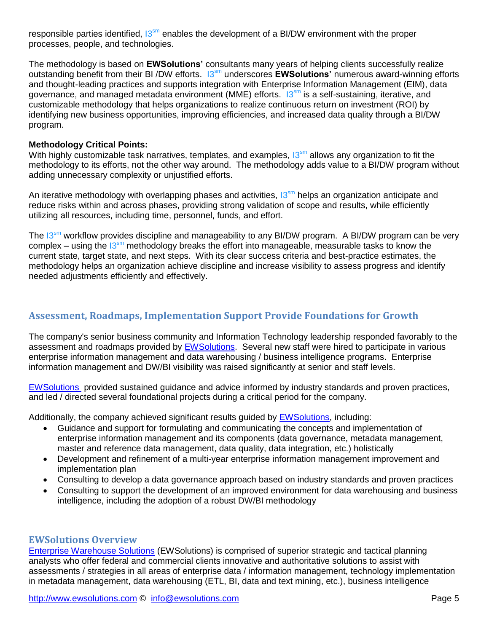responsible parties identified,  $13<sup>sm</sup>$  enables the development of a BI/DW environment with the proper processes, people, and technologies.

The methodology is based on **EWSolutions'** consultants many years of helping clients successfully realize outstanding benefit from their BI /DW efforts. I3sm underscores **EWSolutions'** numerous award-winning efforts and thought-leading practices and supports integration with Enterprise Information Management (EIM), data governance, and managed metadata environment (MME) efforts. 13<sup>sm</sup> is a self-sustaining, iterative, and customizable methodology that helps organizations to realize continuous return on investment (ROI) by identifying new business opportunities, improving efficiencies, and increased data quality through a BI/DW program.

#### **Methodology Critical Points:**

With highly customizable task narratives, templates, and examples,  $13<sup>sm</sup>$  allows any organization to fit the methodology to its efforts, not the other way around. The methodology adds value to a BI/DW program without adding unnecessary complexity or unjustified efforts.

An iterative methodology with overlapping phases and activities,  $13<sup>sm</sup>$  helps an organization anticipate and reduce risks within and across phases, providing strong validation of scope and results, while efficiently utilizing all resources, including time, personnel, funds, and effort.

The 13<sup>sm</sup> workflow provides discipline and manageability to any BI/DW program. A BI/DW program can be very complex – using the  $13<sup>sm</sup>$  methodology breaks the effort into manageable, measurable tasks to know the current state, target state, and next steps. With its clear success criteria and best-practice estimates, the methodology helps an organization achieve discipline and increase visibility to assess progress and identify needed adjustments efficiently and effectively.

### **Assessment, Roadmaps, Implementation Support Provide Foundations for Growth**

The company's senior business community and Information Technology leadership responded favorably to the assessment and roadmaps provided by [EWSolutions.](http://www.ewsolutions.com/) Several new staff were hired to participate in various enterprise information management and data warehousing / business intelligence programs. Enterprise information management and DW/BI visibility was raised significantly at senior and staff levels.

[EWSolutions](http://www.ewsolutions.com/) provided sustained guidance and advice informed by industry standards and proven practices, and led / directed several foundational projects during a critical period for the company.

Additionally, the company achieved significant results guided by [EWSolutions,](http://www.ewsolutions.com/) including:

- Guidance and support for formulating and communicating the concepts and implementation of enterprise information management and its components (data governance, metadata management, master and reference data management, data quality, data integration, etc.) holistically
- Development and refinement of a multi-year enterprise information management improvement and implementation plan
- Consulting to develop a data governance approach based on industry standards and proven practices
- Consulting to support the development of an improved environment for data warehousing and business intelligence, including the adoption of a robust DW/BI methodology

#### **EWSolutions Overview**

[Enterprise Warehouse Solutions](http://www.ewsolutions.com/) (EWSolutions) is comprised of superior strategic and tactical planning analysts who offer federal and commercial clients innovative and authoritative solutions to assist with assessments / strategies in all areas of enterprise data / information management, technology implementation in metadata management, data warehousing (ETL, BI, data and text mining, etc.), business intelligence